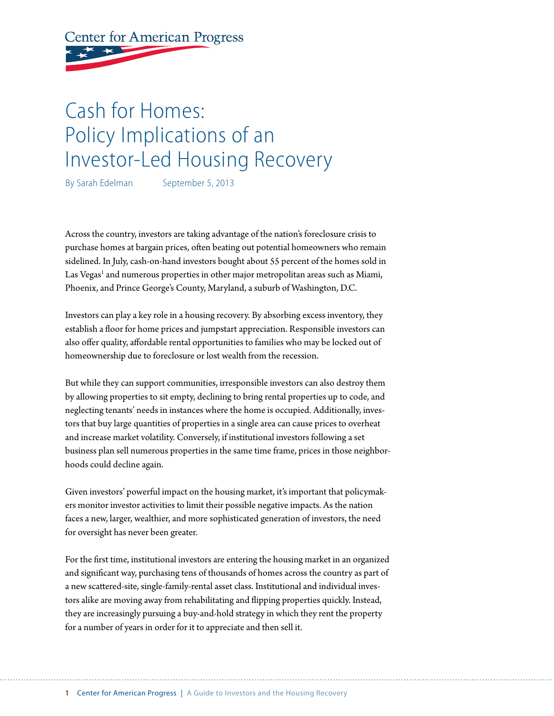# **Center for American Progress**

## Cash for Homes: Policy Implications of an Investor-Led Housing Recovery

By Sarah Edelman September 5, 2013

Across the country, investors are taking advantage of the nation's foreclosure crisis to purchase homes at bargain prices, often beating out potential homeowners who remain sidelined. In July, cash-on-hand investors bought about 55 percent of the homes sold in Las Vegas<sup>1</sup> and numerous properties in other major metropolitan areas such as Miami, Phoenix, and Prince George's County, Maryland, a suburb of Washington, D.C.

Investors can play a key role in a housing recovery. By absorbing excess inventory, they establish a floor for home prices and jumpstart appreciation. Responsible investors can also offer quality, affordable rental opportunities to families who may be locked out of homeownership due to foreclosure or lost wealth from the recession.

But while they can support communities, irresponsible investors can also destroy them by allowing properties to sit empty, declining to bring rental properties up to code, and neglecting tenants' needs in instances where the home is occupied. Additionally, investors that buy large quantities of properties in a single area can cause prices to overheat and increase market volatility. Conversely, if institutional investors following a set business plan sell numerous properties in the same time frame, prices in those neighborhoods could decline again.

Given investors' powerful impact on the housing market, it's important that policymakers monitor investor activities to limit their possible negative impacts. As the nation faces a new, larger, wealthier, and more sophisticated generation of investors, the need for oversight has never been greater.

For the first time, institutional investors are entering the housing market in an organized and significant way, purchasing tens of thousands of homes across the country as part of a new scattered-site, single-family-rental asset class. Institutional and individual investors alike are moving away from rehabilitating and flipping properties quickly. Instead, they are increasingly pursuing a buy-and-hold strategy in which they rent the property for a number of years in order for it to appreciate and then sell it.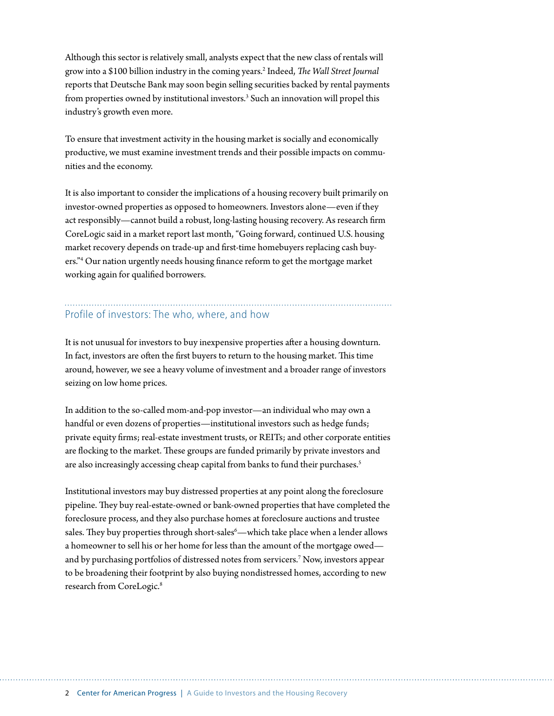Although this sector is relatively small, analysts expect that the new class of rentals will grow into a \$100 billion industry in the coming years.2 Indeed, *The Wall Street Journal* reports that Deutsche Bank may soon begin selling securities backed by rental payments from properties owned by institutional investors.<sup>3</sup> Such an innovation will propel this industry's growth even more.

To ensure that investment activity in the housing market is socially and economically productive, we must examine investment trends and their possible impacts on communities and the economy.

It is also important to consider the implications of a housing recovery built primarily on investor-owned properties as opposed to homeowners. Investors alone—even if they act responsibly—cannot build a robust, long-lasting housing recovery. As research firm CoreLogic said in a market report last month, "Going forward, continued U.S. housing market recovery depends on trade-up and first-time homebuyers replacing cash buyers."4 Our nation urgently needs housing finance reform to get the mortgage market working again for qualified borrowers.

## Profile of investors: The who, where, and how

It is not unusual for investors to buy inexpensive properties after a housing downturn. In fact, investors are often the first buyers to return to the housing market. This time around, however, we see a heavy volume of investment and a broader range of investors seizing on low home prices.

In addition to the so-called mom-and-pop investor—an individual who may own a handful or even dozens of properties—institutional investors such as hedge funds; private equity firms; real-estate investment trusts, or REITs; and other corporate entities are flocking to the market. These groups are funded primarily by private investors and are also increasingly accessing cheap capital from banks to fund their purchases.<sup>5</sup>

Institutional investors may buy distressed properties at any point along the foreclosure pipeline. They buy real-estate-owned or bank-owned properties that have completed the foreclosure process, and they also purchase homes at foreclosure auctions and trustee sales. They buy properties through short-sales<sup>6</sup>—which take place when a lender allows a homeowner to sell his or her home for less than the amount of the mortgage owed and by purchasing portfolios of distressed notes from servicers.7 Now, investors appear to be broadening their footprint by also buying nondistressed homes, according to new research from CoreLogic.8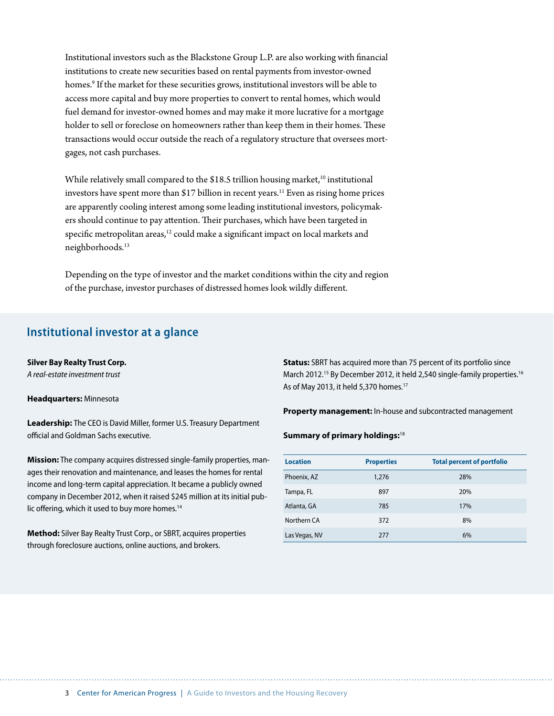Institutional investors such as the Blackstone Group L.P. are also working with financial institutions to create new securities based on rental payments from investor-owned homes.9 If the market for these securities grows, institutional investors will be able to access more capital and buy more properties to convert to rental homes, which would fuel demand for investor-owned homes and may make it more lucrative for a mortgage holder to sell or foreclose on homeowners rather than keep them in their homes. These transactions would occur outside the reach of a regulatory structure that oversees mortgages, not cash purchases.

While relatively small compared to the \$18.5 trillion housing market, $^{10}$  institutional investors have spent more than \$17 billion in recent years.<sup>11</sup> Even as rising home prices are apparently cooling interest among some leading institutional investors, policymakers should continue to pay attention. Their purchases, which have been targeted in specific metropolitan areas,<sup>12</sup> could make a significant impact on local markets and neighborhoods.13

Depending on the type of investor and the market conditions within the city and region of the purchase, investor purchases of distressed homes look wildly different.

#### **Institutional investor at a glance**

#### **Silver Bay Realty Trust Corp.**

*A real-estate investment trust*

#### **Headquarters:** Minnesota

**Leadership:** The CEO is David Miller, former U.S. Treasury Department official and Goldman Sachs executive.

**Mission:** The company acquires distressed single-family properties, manages their renovation and maintenance, and leases the homes for rental income and long-term capital appreciation. It became a publicly owned company in December 2012, when it raised \$245 million at its initial public offering, which it used to buy more homes.<sup>14</sup>

**Method:** Silver Bay Realty Trust Corp., or SBRT, acquires properties through foreclosure auctions, online auctions, and brokers.

**Status:** SBRT has acquired more than 75 percent of its portfolio since March 2012.<sup>15</sup> By December 2012, it held 2,540 single-family properties.<sup>16</sup> As of May 2013, it held 5,370 homes.<sup>17</sup>

**Property management:** In-house and subcontracted management

#### **Summary of primary holdings:**<sup>18</sup>

| <b>Location</b> | <b>Properties</b> | <b>Total percent of portfolio</b> |
|-----------------|-------------------|-----------------------------------|
| Phoenix, AZ     | 1,276             | 28%                               |
| Tampa, FL       | 897               | 20%                               |
| Atlanta, GA     | 785               | 17%                               |
| Northern CA     | 372               | 8%                                |
| Las Vegas, NV   | 277               | 6%                                |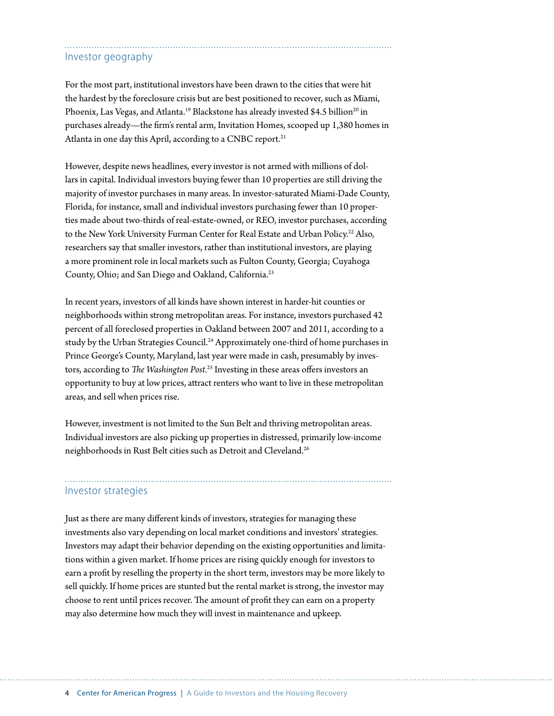#### Investor geography

For the most part, institutional investors have been drawn to the cities that were hit the hardest by the foreclosure crisis but are best positioned to recover, such as Miami, Phoenix, Las Vegas, and Atlanta.<sup>19</sup> Blackstone has already invested \$4.5 billion<sup>20</sup> in purchases already—the firm's rental arm, Invitation Homes, scooped up 1,380 homes in Atlanta in one day this April, according to a CNBC report.<sup>21</sup>

However, despite news headlines, every investor is not armed with millions of dollars in capital. Individual investors buying fewer than 10 properties are still driving the majority of investor purchases in many areas. In investor-saturated Miami-Dade County, Florida, for instance, small and individual investors purchasing fewer than 10 properties made about two-thirds of real-estate-owned, or REO, investor purchases, according to the New York University Furman Center for Real Estate and Urban Policy.<sup>22</sup> Also, researchers say that smaller investors, rather than institutional investors, are playing a more prominent role in local markets such as Fulton County, Georgia; Cuyahoga County, Ohio; and San Diego and Oakland, California.23

In recent years, investors of all kinds have shown interest in harder-hit counties or neighborhoods within strong metropolitan areas. For instance, investors purchased 42 percent of all foreclosed properties in Oakland between 2007 and 2011, according to a study by the Urban Strategies Council.<sup>24</sup> Approximately one-third of home purchases in Prince George's County, Maryland, last year were made in cash, presumably by investors, according to *The Washington Post*. 25 Investing in these areas offers investors an opportunity to buy at low prices, attract renters who want to live in these metropolitan areas, and sell when prices rise.

However, investment is not limited to the Sun Belt and thriving metropolitan areas. Individual investors are also picking up properties in distressed, primarily low-income neighborhoods in Rust Belt cities such as Detroit and Cleveland.26

#### Investor strategies

Just as there are many different kinds of investors, strategies for managing these investments also vary depending on local market conditions and investors' strategies. Investors may adapt their behavior depending on the existing opportunities and limitations within a given market. If home prices are rising quickly enough for investors to earn a profit by reselling the property in the short term, investors may be more likely to sell quickly. If home prices are stunted but the rental market is strong, the investor may choose to rent until prices recover. The amount of profit they can earn on a property may also determine how much they will invest in maintenance and upkeep.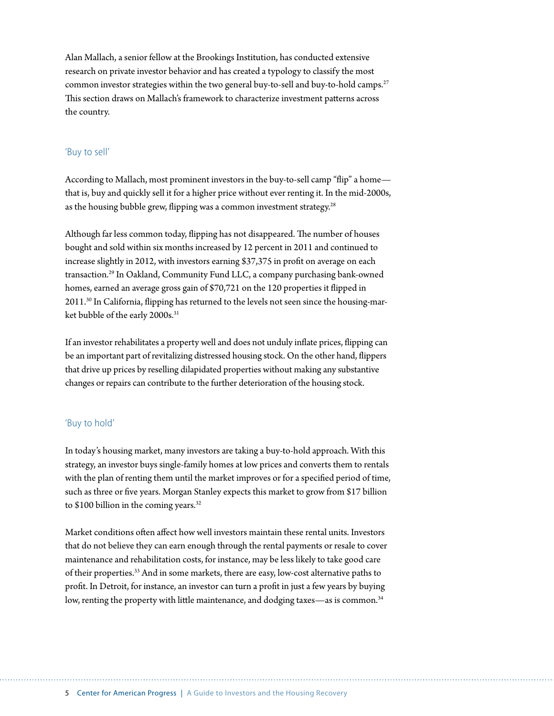Alan Mallach, a senior fellow at the Brookings Institution, has conducted extensive research on private investor behavior and has created a typology to classify the most common investor strategies within the two general buy-to-sell and buy-to-hold camps.<sup>27</sup> This section draws on Mallach's framework to characterize investment patterns across the country.

#### 'Buy to sell'

According to Mallach, most prominent investors in the buy-to-sell camp "flip" a home that is, buy and quickly sell it for a higher price without ever renting it. In the mid-2000s, as the housing bubble grew, flipping was a common investment strategy.<sup>28</sup>

Although far less common today, flipping has not disappeared. The number of houses bought and sold within six months increased by 12 percent in 2011 and continued to increase slightly in 2012, with investors earning \$37,375 in profit on average on each transaction.29 In Oakland, Community Fund LLC, a company purchasing bank-owned homes, earned an average gross gain of \$70,721 on the 120 properties it flipped in  $2011<sup>30</sup>$  In California, flipping has returned to the levels not seen since the housing-market bubble of the early 2000s.<sup>31</sup>

If an investor rehabilitates a property well and does not unduly inflate prices, flipping can be an important part of revitalizing distressed housing stock. On the other hand, flippers that drive up prices by reselling dilapidated properties without making any substantive changes or repairs can contribute to the further deterioration of the housing stock.

#### 'Buy to hold'

In today's housing market, many investors are taking a buy-to-hold approach. With this strategy, an investor buys single-family homes at low prices and converts them to rentals with the plan of renting them until the market improves or for a specified period of time, such as three or five years. Morgan Stanley expects this market to grow from \$17 billion to \$100 billion in the coming years.<sup>32</sup>

Market conditions often affect how well investors maintain these rental units. Investors that do not believe they can earn enough through the rental payments or resale to cover maintenance and rehabilitation costs, for instance, may be less likely to take good care of their properties.33 And in some markets, there are easy, low-cost alternative paths to profit. In Detroit, for instance, an investor can turn a profit in just a few years by buying low, renting the property with little maintenance, and dodging taxes—as is common.<sup>34</sup>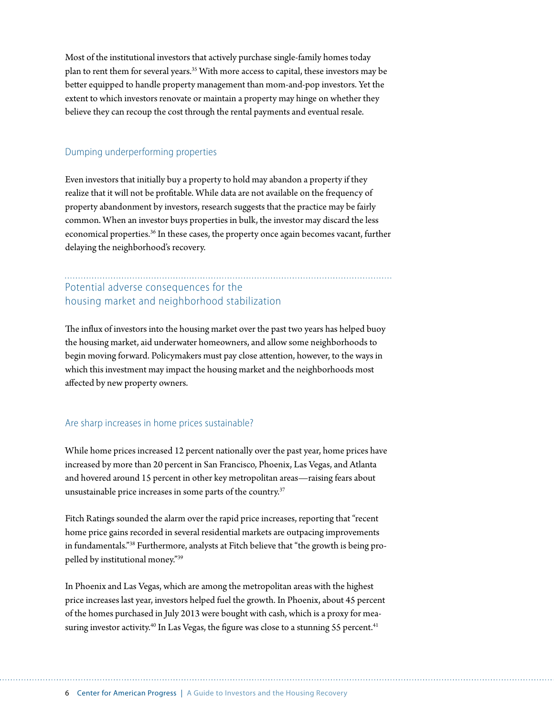Most of the institutional investors that actively purchase single-family homes today plan to rent them for several years.35 With more access to capital, these investors may be better equipped to handle property management than mom-and-pop investors. Yet the extent to which investors renovate or maintain a property may hinge on whether they believe they can recoup the cost through the rental payments and eventual resale.

#### Dumping underperforming properties

Even investors that initially buy a property to hold may abandon a property if they realize that it will not be profitable. While data are not available on the frequency of property abandonment by investors, research suggests that the practice may be fairly common. When an investor buys properties in bulk, the investor may discard the less economical properties.<sup>36</sup> In these cases, the property once again becomes vacant, further delaying the neighborhood's recovery.

## Potential adverse consequences for the housing market and neighborhood stabilization

The influx of investors into the housing market over the past two years has helped buoy the housing market, aid underwater homeowners, and allow some neighborhoods to begin moving forward. Policymakers must pay close attention, however, to the ways in which this investment may impact the housing market and the neighborhoods most affected by new property owners.

#### Are sharp increases in home prices sustainable?

While home prices increased 12 percent nationally over the past year, home prices have increased by more than 20 percent in San Francisco, Phoenix, Las Vegas, and Atlanta and hovered around 15 percent in other key metropolitan areas—raising fears about unsustainable price increases in some parts of the country.<sup>37</sup>

Fitch Ratings sounded the alarm over the rapid price increases, reporting that "recent home price gains recorded in several residential markets are outpacing improvements in fundamentals."38 Furthermore, analysts at Fitch believe that "the growth is being propelled by institutional money."39

In Phoenix and Las Vegas, which are among the metropolitan areas with the highest price increases last year, investors helped fuel the growth. In Phoenix, about 45 percent of the homes purchased in July 2013 were bought with cash, which is a proxy for measuring investor activity.<sup>40</sup> In Las Vegas, the figure was close to a stunning 55 percent.<sup>41</sup>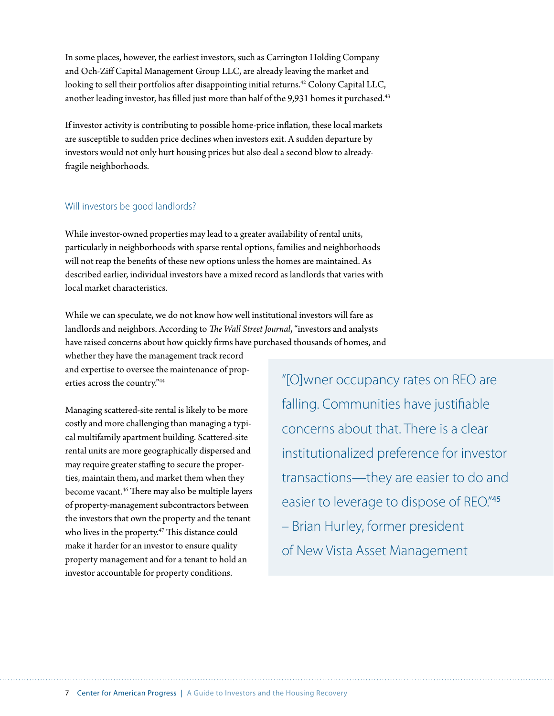In some places, however, the earliest investors, such as Carrington Holding Company and Och-Ziff Capital Management Group LLC, are already leaving the market and looking to sell their portfolios after disappointing initial returns.<sup>42</sup> Colony Capital LLC, another leading investor, has filled just more than half of the 9,931 homes it purchased.<sup>43</sup>

If investor activity is contributing to possible home-price inflation, these local markets are susceptible to sudden price declines when investors exit. A sudden departure by investors would not only hurt housing prices but also deal a second blow to alreadyfragile neighborhoods.

#### Will investors be good landlords?

While investor-owned properties may lead to a greater availability of rental units, particularly in neighborhoods with sparse rental options, families and neighborhoods will not reap the benefits of these new options unless the homes are maintained. As described earlier, individual investors have a mixed record as landlords that varies with local market characteristics.

While we can speculate, we do not know how well institutional investors will fare as landlords and neighbors. According to *The Wall Street Journal*, "investors and analysts have raised concerns about how quickly firms have purchased thousands of homes, and

whether they have the management track record and expertise to oversee the maintenance of properties across the country."44

Managing scattered-site rental is likely to be more costly and more challenging than managing a typical multifamily apartment building. Scattered-site rental units are more geographically dispersed and may require greater staffing to secure the properties, maintain them, and market them when they become vacant.46 There may also be multiple layers of property-management subcontractors between the investors that own the property and the tenant who lives in the property.<sup>47</sup> This distance could make it harder for an investor to ensure quality property management and for a tenant to hold an investor accountable for property conditions.

"[O]wner occupancy rates on REO are falling. Communities have justifiable concerns about that. There is a clear institutionalized preference for investor transactions—they are easier to do and easier to leverage to dispose of REO."45 – Brian Hurley, former president of New Vista Asset Management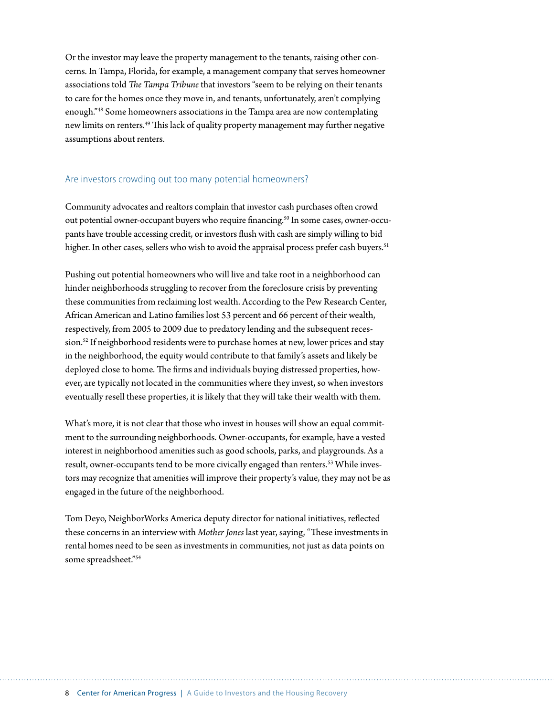Or the investor may leave the property management to the tenants, raising other concerns. In Tampa, Florida, for example, a management company that serves homeowner associations told *The Tampa Tribune* that investors "seem to be relying on their tenants to care for the homes once they move in, and tenants, unfortunately, aren't complying enough."48 Some homeowners associations in the Tampa area are now contemplating new limits on renters.49 This lack of quality property management may further negative assumptions about renters.

#### Are investors crowding out too many potential homeowners?

Community advocates and realtors complain that investor cash purchases often crowd out potential owner-occupant buyers who require financing.<sup>50</sup> In some cases, owner-occupants have trouble accessing credit, or investors flush with cash are simply willing to bid higher. In other cases, sellers who wish to avoid the appraisal process prefer cash buyers.<sup>51</sup>

Pushing out potential homeowners who will live and take root in a neighborhood can hinder neighborhoods struggling to recover from the foreclosure crisis by preventing these communities from reclaiming lost wealth. According to the Pew Research Center, African American and Latino families lost 53 percent and 66 percent of their wealth, respectively, from 2005 to 2009 due to predatory lending and the subsequent recession.<sup>52</sup> If neighborhood residents were to purchase homes at new, lower prices and stay in the neighborhood, the equity would contribute to that family's assets and likely be deployed close to home. The firms and individuals buying distressed properties, however, are typically not located in the communities where they invest, so when investors eventually resell these properties, it is likely that they will take their wealth with them.

What's more, it is not clear that those who invest in houses will show an equal commitment to the surrounding neighborhoods. Owner-occupants, for example, have a vested interest in neighborhood amenities such as good schools, parks, and playgrounds. As a result, owner-occupants tend to be more civically engaged than renters.<sup>53</sup> While investors may recognize that amenities will improve their property's value, they may not be as engaged in the future of the neighborhood.

Tom Deyo, NeighborWorks America deputy director for national initiatives, reflected these concerns in an interview with *Mother Jones* last year, saying, "These investments in rental homes need to be seen as investments in communities, not just as data points on some spreadsheet."54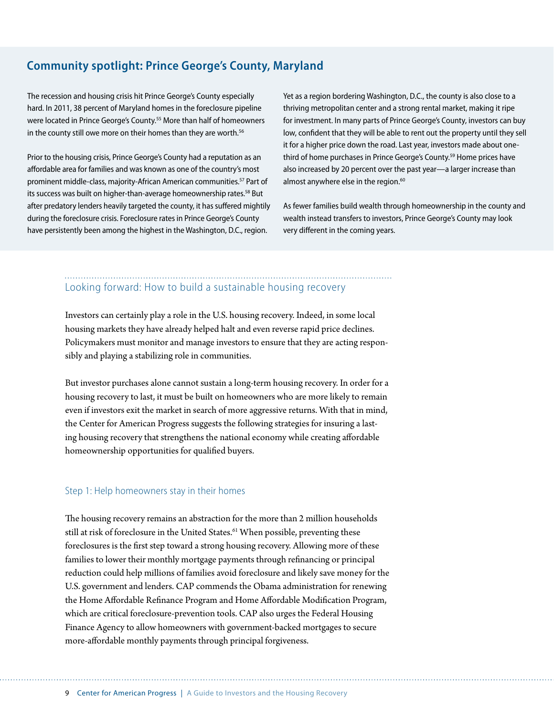### **Community spotlight: Prince George's County, Maryland**

The recession and housing crisis hit Prince George's County especially hard. In 2011, 38 percent of Maryland homes in the foreclosure pipeline were located in Prince George's County.<sup>55</sup> More than half of homeowners in the county still owe more on their homes than they are worth.<sup>56</sup>

Prior to the housing crisis, Prince George's County had a reputation as an affordable area for families and was known as one of the country's most prominent middle-class, majority-African American communities.<sup>57</sup> Part of its success was built on higher-than-average homeownership rates.<sup>58</sup> But after predatory lenders heavily targeted the county, it has suffered mightily during the foreclosure crisis. Foreclosure rates in Prince George's County have persistently been among the highest in the Washington, D.C., region.

Yet as a region bordering Washington, D.C., the county is also close to a thriving metropolitan center and a strong rental market, making it ripe for investment. In many parts of Prince George's County, investors can buy low, confident that they will be able to rent out the property until they sell it for a higher price down the road. Last year, investors made about onethird of home purchases in Prince George's County.<sup>59</sup> Home prices have also increased by 20 percent over the past year—a larger increase than almost anywhere else in the region.<sup>60</sup>

As fewer families build wealth through homeownership in the county and wealth instead transfers to investors, Prince George's County may look very different in the coming years.

## Looking forward: How to build a sustainable housing recovery

Investors can certainly play a role in the U.S. housing recovery. Indeed, in some local housing markets they have already helped halt and even reverse rapid price declines. Policymakers must monitor and manage investors to ensure that they are acting responsibly and playing a stabilizing role in communities.

But investor purchases alone cannot sustain a long-term housing recovery. In order for a housing recovery to last, it must be built on homeowners who are more likely to remain even if investors exit the market in search of more aggressive returns. With that in mind, the Center for American Progress suggests the following strategies for insuring a lasting housing recovery that strengthens the national economy while creating affordable homeownership opportunities for qualified buyers.

#### Step 1: Help homeowners stay in their homes

The housing recovery remains an abstraction for the more than 2 million households still at risk of foreclosure in the United States.<sup>61</sup> When possible, preventing these foreclosures is the first step toward a strong housing recovery. Allowing more of these families to lower their monthly mortgage payments through refinancing or principal reduction could help millions of families avoid foreclosure and likely save money for the U.S. government and lenders. CAP commends the Obama administration for renewing the Home Affordable Refinance Program and Home Affordable Modification Program, which are critical foreclosure-prevention tools. CAP also urges the Federal Housing Finance Agency to allow homeowners with government-backed mortgages to secure more-affordable monthly payments through principal forgiveness.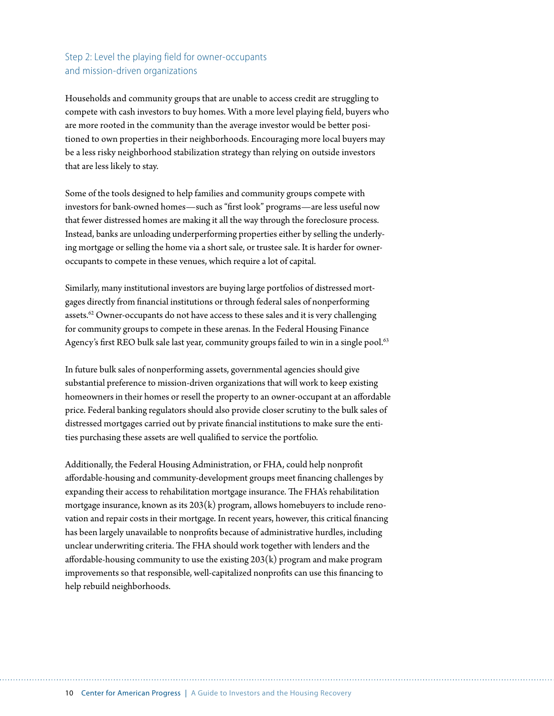#### Step 2: Level the playing field for owner-occupants and mission-driven organizations

Households and community groups that are unable to access credit are struggling to compete with cash investors to buy homes. With a more level playing field, buyers who are more rooted in the community than the average investor would be better positioned to own properties in their neighborhoods. Encouraging more local buyers may be a less risky neighborhood stabilization strategy than relying on outside investors that are less likely to stay.

Some of the tools designed to help families and community groups compete with investors for bank-owned homes—such as "first look" programs—are less useful now that fewer distressed homes are making it all the way through the foreclosure process. Instead, banks are unloading underperforming properties either by selling the underlying mortgage or selling the home via a short sale, or trustee sale. It is harder for owneroccupants to compete in these venues, which require a lot of capital.

Similarly, many institutional investors are buying large portfolios of distressed mortgages directly from financial institutions or through federal sales of nonperforming assets.<sup>62</sup> Owner-occupants do not have access to these sales and it is very challenging for community groups to compete in these arenas. In the Federal Housing Finance Agency's first REO bulk sale last year, community groups failed to win in a single pool.<sup>63</sup>

In future bulk sales of nonperforming assets, governmental agencies should give substantial preference to mission-driven organizations that will work to keep existing homeowners in their homes or resell the property to an owner-occupant at an affordable price. Federal banking regulators should also provide closer scrutiny to the bulk sales of distressed mortgages carried out by private financial institutions to make sure the entities purchasing these assets are well qualified to service the portfolio.

Additionally, the Federal Housing Administration, or FHA, could help nonprofit affordable-housing and community-development groups meet financing challenges by expanding their access to rehabilitation mortgage insurance. The FHA's rehabilitation mortgage insurance, known as its  $203(k)$  program, allows homebuyers to include renovation and repair costs in their mortgage. In recent years, however, this critical financing has been largely unavailable to nonprofits because of administrative hurdles, including unclear underwriting criteria. The FHA should work together with lenders and the affordable-housing community to use the existing 203(k) program and make program improvements so that responsible, well-capitalized nonprofits can use this financing to help rebuild neighborhoods.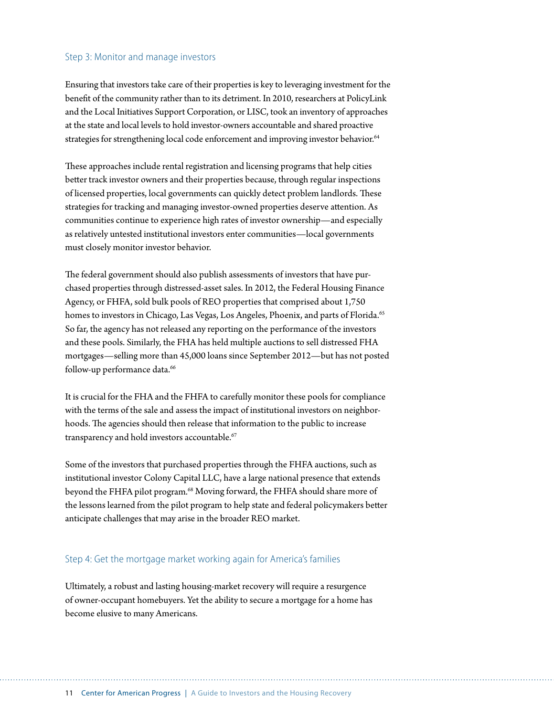#### Step 3: Monitor and manage investors

Ensuring that investors take care of their properties is key to leveraging investment for the benefit of the community rather than to its detriment. In 2010, researchers at PolicyLink and the Local Initiatives Support Corporation, or LISC, took an inventory of approaches at the state and local levels to hold investor-owners accountable and shared proactive strategies for strengthening local code enforcement and improving investor behavior.<sup>64</sup>

These approaches include rental registration and licensing programs that help cities better track investor owners and their properties because, through regular inspections of licensed properties, local governments can quickly detect problem landlords. These strategies for tracking and managing investor-owned properties deserve attention. As communities continue to experience high rates of investor ownership—and especially as relatively untested institutional investors enter communities—local governments must closely monitor investor behavior.

The federal government should also publish assessments of investors that have purchased properties through distressed-asset sales. In 2012, the Federal Housing Finance Agency, or FHFA, sold bulk pools of REO properties that comprised about 1,750 homes to investors in Chicago, Las Vegas, Los Angeles, Phoenix, and parts of Florida.<sup>65</sup> So far, the agency has not released any reporting on the performance of the investors and these pools. Similarly, the FHA has held multiple auctions to sell distressed FHA mortgages—selling more than 45,000 loans since September 2012—but has not posted follow-up performance data.<sup>66</sup>

It is crucial for the FHA and the FHFA to carefully monitor these pools for compliance with the terms of the sale and assess the impact of institutional investors on neighborhoods. The agencies should then release that information to the public to increase transparency and hold investors accountable.<sup>67</sup>

Some of the investors that purchased properties through the FHFA auctions, such as institutional investor Colony Capital LLC, have a large national presence that extends beyond the FHFA pilot program.<sup>68</sup> Moving forward, the FHFA should share more of the lessons learned from the pilot program to help state and federal policymakers better anticipate challenges that may arise in the broader REO market.

#### Step 4: Get the mortgage market working again for America's families

Ultimately, a robust and lasting housing-market recovery will require a resurgence of owner-occupant homebuyers. Yet the ability to secure a mortgage for a home has become elusive to many Americans.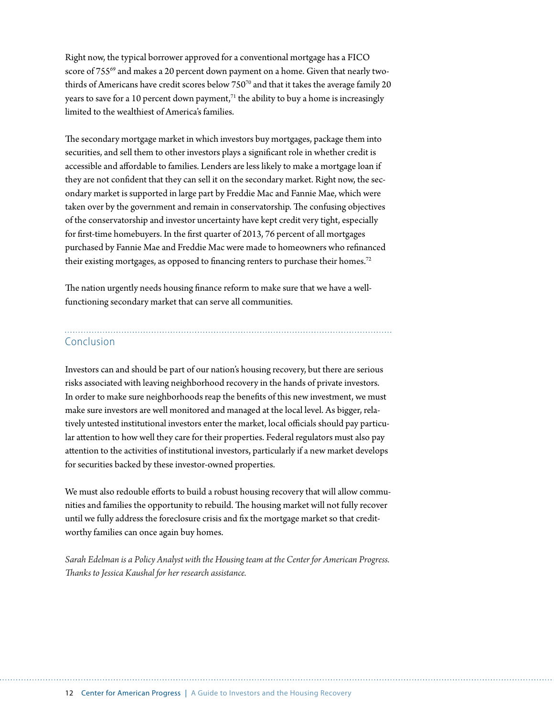Right now, the typical borrower approved for a conventional mortgage has a FICO score of 755<sup>69</sup> and makes a 20 percent down payment on a home. Given that nearly twothirds of Americans have credit scores below 750<sup>70</sup> and that it takes the average family 20 years to save for a 10 percent down payment,<sup>71</sup> the ability to buy a home is increasingly limited to the wealthiest of America's families.

The secondary mortgage market in which investors buy mortgages, package them into securities, and sell them to other investors plays a significant role in whether credit is accessible and affordable to families. Lenders are less likely to make a mortgage loan if they are not confident that they can sell it on the secondary market. Right now, the secondary market is supported in large part by Freddie Mac and Fannie Mae, which were taken over by the government and remain in conservatorship. The confusing objectives of the conservatorship and investor uncertainty have kept credit very tight, especially for first-time homebuyers. In the first quarter of 2013, 76 percent of all mortgages purchased by Fannie Mae and Freddie Mac were made to homeowners who refinanced their existing mortgages, as opposed to financing renters to purchase their homes.<sup>72</sup>

The nation urgently needs housing finance reform to make sure that we have a wellfunctioning secondary market that can serve all communities.

#### Conclusion

Investors can and should be part of our nation's housing recovery, but there are serious risks associated with leaving neighborhood recovery in the hands of private investors. In order to make sure neighborhoods reap the benefits of this new investment, we must make sure investors are well monitored and managed at the local level. As bigger, relatively untested institutional investors enter the market, local officials should pay particular attention to how well they care for their properties. Federal regulators must also pay attention to the activities of institutional investors, particularly if a new market develops for securities backed by these investor-owned properties.

We must also redouble efforts to build a robust housing recovery that will allow communities and families the opportunity to rebuild. The housing market will not fully recover until we fully address the foreclosure crisis and fix the mortgage market so that creditworthy families can once again buy homes.

*Sarah Edelman is a Policy Analyst with the Housing team at the Center for American Progress. Thanks to Jessica Kaushal for her research assistance.*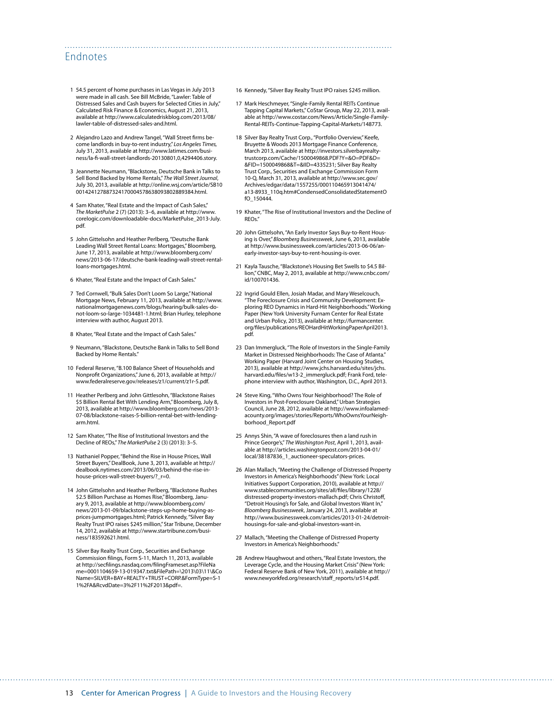#### Endnotes

- 1 54.5 percent of home purchases in Las Vegas in July 2013 were made in all cash. See Bill McBride, "Lawler: Table of Distressed Sales and Cash buyers for Selected Cities in July," Calculated Risk Finance & Economics, August 21, 2013, available at [http://www.calculatedriskblog.com/2013/08/](http://www.calculatedriskblog.com/2013/08/lawler-table-of-distressed-sales-and.html) [lawler-table-of-distressed-sales-and.html.](http://www.calculatedriskblog.com/2013/08/lawler-table-of-distressed-sales-and.html)
- 2 Alejandro Lazo and Andrew Tangel, "Wall Street firms become landlords in buy-to-rent industry," *Los Angeles Times,*  July 31, 2013, available at [http://www.latimes.com/busi](http://www.latimes.com/business/la-fi-wall-street-landlords-20130801,0,4294406.story)[ness/la-fi-wall-street-landlords-20130801,0,4294406.story.](http://www.latimes.com/business/la-fi-wall-street-landlords-20130801,0,4294406.story)
- 3 Jeannette Neumann, "Blackstone, Deutsche Bank in Talks to Sell Bond Backed by Home Rentals," *The Wall Street Journal*, July 30, 2013, available at [http://online.wsj.com/article/SB10](http://online.wsj.com/article/SB10001424127887324170004578638093802889384.html) [001424127887324170004578638093802889384.html](http://online.wsj.com/article/SB10001424127887324170004578638093802889384.html).
- 4 Sam Khater, "Real Estate and the Impact of Cash Sales," *The MarketPulse* 2 (7) (2013): 3–6, available at [http://www.](http://www.corelogic.com/downloadable-docs/MarketPulse_2013-July.pdf) [corelogic.com/downloadable-docs/MarketPulse\\_2013-July.](http://www.corelogic.com/downloadable-docs/MarketPulse_2013-July.pdf) [pdf](http://www.corelogic.com/downloadable-docs/MarketPulse_2013-July.pdf).
- 5 John Gittelsohn and Heather Perlberg, "Deutsche Bank Leading Wall Street Rental Loans: Mortgages," Bloomberg, June 17, 2013, available at [http://www.bloomberg.com/](http://www.bloomberg.com/news/2013-06-17/deutsche-bank-leading-wall-street-rental-loans-mortgages.html) [news/2013-06-17/deutsche-bank-leading-wall-street-rental](http://www.bloomberg.com/news/2013-06-17/deutsche-bank-leading-wall-street-rental-loans-mortgages.html)[loans-mortgages.html.](http://www.bloomberg.com/news/2013-06-17/deutsche-bank-leading-wall-street-rental-loans-mortgages.html)
- 6 Khater, "Real Estate and the Impact of Cash Sales."
- 7 Ted Cornwell, "Bulk Sales Don't Loom So Large," National Mortgage News, February 11, 2013, available at [http://www.](http://www.nationalmortgagenews.com/blogs/hearing/bulk-sales-do-not-loom-so-large-1034481-1.html) [nationalmortgagenews.com/blogs/hearing/bulk-sales-do](http://www.nationalmortgagenews.com/blogs/hearing/bulk-sales-do-not-loom-so-large-1034481-1.html)[not-loom-so-large-1034481-1.html](http://www.nationalmortgagenews.com/blogs/hearing/bulk-sales-do-not-loom-so-large-1034481-1.html); Brian Hurley, telephone interview with author, August 2013.
- 8 Khater, "Real Estate and the Impact of Cash Sales."
- 9 Neumann, "Blackstone, Deutsche Bank in Talks to Sell Bond Backed by Home Rentals."
- 10 Federal Reserve, "B.100 Balance Sheet of Households and Nonprofit Organizations," June 6, 2013, available at [http://](http://www.federalreserve.gov/releases/z1/current/z1r-5.pdf) [www.federalreserve.gov/releases/z1/current/z1r-5.pdf](http://www.federalreserve.gov/releases/z1/current/z1r-5.pdf).
- 11 Heather Perlberg and John Gittlesohn, "Blackstone Raises \$5 Billion Rental Bet With Lending Arm," Bloomberg, July 8, 2013, available at [http://www.bloomberg.com/news/2013-](http://www.bloomberg.com/news/2013-07-08/blackstone-raises-5-billion-rental-bet-with-lending-arm.html) [07-08/blackstone-raises-5-billion-rental-bet-with-lending](http://www.bloomberg.com/news/2013-07-08/blackstone-raises-5-billion-rental-bet-with-lending-arm.html)[arm.html.](http://www.bloomberg.com/news/2013-07-08/blackstone-raises-5-billion-rental-bet-with-lending-arm.html)
- 12 Sam Khater, "The Rise of Institutional Investors and the Decline of REOs," *The MarketPulse* 2 (3) (2013): 3–5.
- 13 Nathaniel Popper, "Behind the Rise in House Prices, Wall Street Buyers," DealBook, June 3, 2013, available at [http://](http://dealbook.nytimes.com/2013/06/03/behind-the-rise-in-house-prices-wall-street-buyers/?_r=0) [dealbook.nytimes.com/2013/06/03/behind-the-rise-in](http://dealbook.nytimes.com/2013/06/03/behind-the-rise-in-house-prices-wall-street-buyers/?_r=0)[house-prices-wall-street-buyers/?\\_r=0.](http://dealbook.nytimes.com/2013/06/03/behind-the-rise-in-house-prices-wall-street-buyers/?_r=0)
- 14 John Gittelsohn and Heather Perlberg, "Blackstone Rushes \$2.5 Billion Purchase as Homes Rise," Bloomberg, January 9, 2013, available at http://www.bloomberg.com/ news/2013-01-09/blackstone-steps-up-home-buying-asprices-jumpmortgages.html; Patrick Kennedy, "Silver Bay Realty Trust IPO raises \$245 million," Star Tribune, December 14, 2012, available at http://www.startribune.com/business/183592621.html.
- 15 Silver Bay Realty Trust Corp., Securities and Exchange Commission filings, Form S-11, March 11, 2013, available at [http://secfilings.nasdaq.com/filingFrameset.asp?FileNa](http://secfilings.nasdaq.com/filingFrameset.asp?FileName=0001104659-13-019347.txt&FilePath=\2013\03\11\&CoName=SILVER+BAY+REALTY+TRUST+CORP.&FormType=S-11%2FA&RcvdDate=3%2F11%2F2013&pdf) [me=0001104659-13-019347.txt&FilePath=\2013\03\11\&Co](http://secfilings.nasdaq.com/filingFrameset.asp?FileName=0001104659-13-019347.txt&FilePath=\2013\03\11\&CoName=SILVER+BAY+REALTY+TRUST+CORP.&FormType=S-11%2FA&RcvdDate=3%2F11%2F2013&pdf) [Name=SILVER+BAY+REALTY+TRUST+CORP.&FormType=S-1](http://secfilings.nasdaq.com/filingFrameset.asp?FileName=0001104659-13-019347.txt&FilePath=\2013\03\11\&CoName=SILVER+BAY+REALTY+TRUST+CORP.&FormType=S-11%2FA&RcvdDate=3%2F11%2F2013&pdf) [1%2FA&RcvdDate=3%2F11%2F2013&pdf](http://secfilings.nasdaq.com/filingFrameset.asp?FileName=0001104659-13-019347.txt&FilePath=\2013\03\11\&CoName=SILVER+BAY+REALTY+TRUST+CORP.&FormType=S-11%2FA&RcvdDate=3%2F11%2F2013&pdf)=.

16 Kennedy, "Silver Bay Realty Trust IPO raises \$245 million.

- 17 Mark Heschmeyer, "Single-Family Rental REITs Continue Tapping Capital Markets," CoStar Group, May 22, 2013, available at [http://www.costar.com/News/Article/Single-Family-](http://www.costar.com/News/Article/Single-Family-Rental-REITs-Continue-Tapping-Capital-Markets/148773)[Rental-REITs-Continue-Tapping-Capital-Markets/148773](http://www.costar.com/News/Article/Single-Family-Rental-REITs-Continue-Tapping-Capital-Markets/148773).
- 18 Silver Bay Realty Trust Corp., "Portfolio Overview," Keefe, Bruyette & Woods 2013 Mortgage Finance Conference, March 2013, available at [http://investors.silverbayrealty](http://investors.silverbayrealtytrustcorp.com/Cache/1500049868.PDF?Y=&O=PDF&D=&FID=1500049868&T=&IID=4335231)[trustcorp.com/Cache/1500049868.PDF?Y=&O=PDF&D=](http://investors.silverbayrealtytrustcorp.com/Cache/1500049868.PDF?Y=&O=PDF&D=&FID=1500049868&T=&IID=4335231) [&FID=1500049868&T=&IID=4335231](http://investors.silverbayrealtytrustcorp.com/Cache/1500049868.PDF?Y=&O=PDF&D=&FID=1500049868&T=&IID=4335231); Silver Bay Realty Trust Corp., Securities and Exchange Commission Form 10-Q, March 31, 2013, available at [http://www.sec.gov/](http://www.sec.gov/Archives/edgar/data/1557255/000110465913041474/a13-8933_110q.htm#CondensedConsolidatedStatementOfO_150444) [Archives/edgar/data/1557255/000110465913041474/](http://www.sec.gov/Archives/edgar/data/1557255/000110465913041474/a13-8933_110q.htm#CondensedConsolidatedStatementOfO_150444) [a13-8933\\_110q.htm#CondensedConsolidatedStatementO](http://www.sec.gov/Archives/edgar/data/1557255/000110465913041474/a13-8933_110q.htm#CondensedConsolidatedStatementOfO_150444) [fO\\_150444.](http://www.sec.gov/Archives/edgar/data/1557255/000110465913041474/a13-8933_110q.htm#CondensedConsolidatedStatementOfO_150444)
- 19 Khater, "The Rise of Institutional Investors and the Decline of REOs."
- 20 John Gittelsohn, "An Early Investor Says Buy-to-Rent Housing is Over," *Bloomberg Businessweek*, June 6, 2013, available at [http://www.businessweek.com/articles/2013-06-06/an](http://www.businessweek.com/articles/2013-06-06/an-early-investor-says-buy-to-rent-housing-is-over)[early-investor-says-buy-to-rent-housing-is-over](http://www.businessweek.com/articles/2013-06-06/an-early-investor-says-buy-to-rent-housing-is-over).
- 21 Kayla Tausche, "Blackstone's Housing Bet Swells to \$4.5 Billion," CNBC, May 2, 2013, available at [http://www.cnbc.com/](http://www.cnbc.com/id/100701436) [id/100701436.](http://www.cnbc.com/id/100701436)
- 22 Ingrid Gould Ellen, Josiah Madar, and Mary Weselcouch, "The Foreclosure Crisis and Community Development: Exploring REO Dynamics in Hard-Hit Neighborhoods." Working Paper (New York University Furnam Center for Real Estate and Urban Policy, 2013), available at [http://furmancenter.](http://furmancenter.org/files/publications/REOHardHitWorkingPaperApril2013.pdf) [org/files/publications/REOHardHitWorkingPaperApril2013.](http://furmancenter.org/files/publications/REOHardHitWorkingPaperApril2013.pdf) [pdf](http://furmancenter.org/files/publications/REOHardHitWorkingPaperApril2013.pdf).
- 23 Dan Immergluck, "The Role of Investors in the Single-Family Market in Distressed Neighborhoods: The Case of Atlanta." Working Paper (Harvard Joint Center on Housing Studies, 2013), available at [http://www.jchs.harvard.edu/sites/jchs.](http://www.jchs.harvard.edu/sites/jchs.harvard.edu/files/w13-2_immergluck.pdf) [harvard.edu/files/w13-2\\_immergluck.pdf;](http://www.jchs.harvard.edu/sites/jchs.harvard.edu/files/w13-2_immergluck.pdf) Frank Ford, telephone interview with author, Washington, D.C., April 2013.
- 24 Steve King, "Who Owns Your Neighborhood? The Role of Investors in Post-Foreclosure Oakland," Urban Strategies Council, June 28, 2012, available at http://www.infoalamedacounty.org/images/stories/Reports/WhoOwnsYourNeighborhood\_Report.pdf
- 25 Annys Shin, "A wave of foreclosures then a land rush in Prince George's," *The Washington Post*, April 1, 2013, available at [http://articles.washingtonpost.com/2013-04-01/](http://articles.washingtonpost.com/2013-04-01/local/38187836_1_auctioneer-speculators-prices) [local/38187836\\_1\\_auctioneer-speculators-prices](http://articles.washingtonpost.com/2013-04-01/local/38187836_1_auctioneer-speculators-prices).
- 26 Alan Mallach, "Meeting the Challenge of Distressed Property Investors in America's Neighborhoods" (New York: Local Initiatives Support Corporation, 2010), available at [http://](http://www.stablecommunities.org/sites/all/files/library/1228/distressed-property-investors-mallach.pdf) [www.stablecommunities.org/sites/all/files/library/1228/](http://www.stablecommunities.org/sites/all/files/library/1228/distressed-property-investors-mallach.pdf) [distressed-property-investors-mallach.pdf;](http://www.stablecommunities.org/sites/all/files/library/1228/distressed-property-investors-mallach.pdf) Chris Christoff, "Detroit Housing's for Sale, and Global Investors Want In," *Bloomberg Businessweek*, January 24, 2013, available at [http://www.businessweek.com/articles/2013-01-24/detroit](http://www.businessweek.com/articles/2013-01-24/detroit-housings-for-sale-and-global-investors-want-in)[housings-for-sale-and-global-investors-want-in.](http://www.businessweek.com/articles/2013-01-24/detroit-housings-for-sale-and-global-investors-want-in)
- 27 Mallach, "Meeting the Challenge of Distressed Property Investors in America's Neighborhoods."
- 28 Andrew Haughwout and others, "Real Estate Investors, the Leverage Cycle, and the Housing Market Crisis" (New York: Federal Reserve Bank of New York, 2011), available at [http://](http://www.newyorkfed.org/research/staff_reports/sr514.pdf) [www.newyorkfed.org/research/staff\\_reports/sr514.pdf.](http://www.newyorkfed.org/research/staff_reports/sr514.pdf)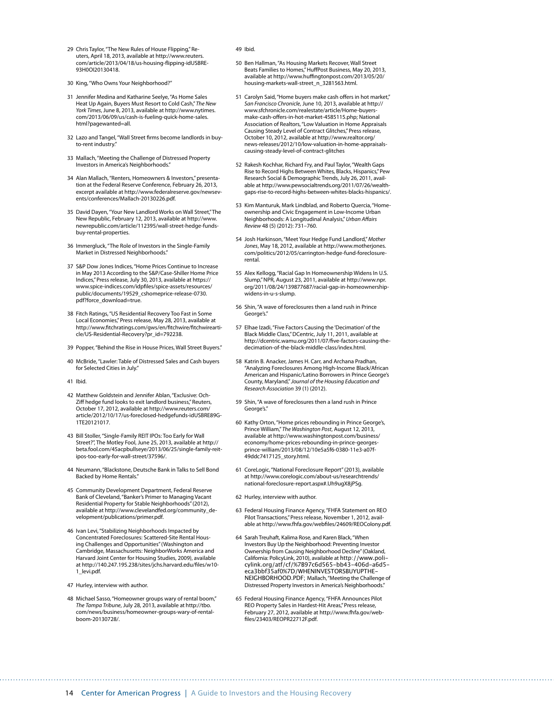- 29 Chris Taylor, "The New Rules of House Flipping," Reuters, April 18, 2013, available at [http://www.reuters.](http://www.reuters.com/article/2013/04/18/us-housing-flipping-idUSBRE93H0OI20130418) [com/article/2013/04/18/us-housing-flipping-idUSBRE-](http://www.reuters.com/article/2013/04/18/us-housing-flipping-idUSBRE93H0OI20130418)[93H0OI20130418.](http://www.reuters.com/article/2013/04/18/us-housing-flipping-idUSBRE93H0OI20130418)
- 30 King, "Who Owns Your Neighborhood?"
- 31 Jennifer Medina and Katharine Seelye, "As Home Sales Heat Up Again, Buyers Must Resort to Cold Cash," *The New York Times*,June 8, 2013, available at [http://www.nytimes.](http://www.nytimes.com/2013/06/09/us/cash-is-fueling-quick-home-sales.html?pagewanted=all) [com/2013/06/09/us/cash-is-fueling-quick-home-sales.](http://www.nytimes.com/2013/06/09/us/cash-is-fueling-quick-home-sales.html?pagewanted=all) [html?pagewanted=all.](http://www.nytimes.com/2013/06/09/us/cash-is-fueling-quick-home-sales.html?pagewanted=all)
- 32 Lazo and Tangel, "Wall Street firms become landlords in buyto-rent industry.
- 33 Mallach, "Meeting the Challenge of Distressed Property Investors in America's Neighborhoods."
- 34 Alan Mallach, "Renters, Homeowners & Investors," presentation at the Federal Reserve Conference, February 26, 2013, excerpt available at [http://www.federalreserve.gov/newsev](http://www.federalreserve.gov/newsevents/conferences/Mallach-20130226.pdf)[ents/conferences/Mallach-20130226.pdf.](http://www.federalreserve.gov/newsevents/conferences/Mallach-20130226.pdf)
- 35 David Dayen, "Your New Landlord Works on Wall Street," The New Republic, February 12, 2013, available at http://www. newrepublic.com/article/112395/wall-street-hedge-fundsbuy-rental-properties.
- 36 Immergluck, "The Role of Investors in the Single-Family Market in Distressed Neighborhoods."
- 37 S&P Dow Jones Indices, "Home Prices Continue to Increase in May 2013 According to the S&P/Case-Shiller Home Price Indices," Press release, July 30, 2013, available at [https://](https://www.spice-indices.com/idpfiles/spice-assets/resources/public/documents/19529_cshomeprice-release-0730.pdf?force_download=true) [www.spice-indices.com/idpfiles/spice-assets/resources/](https://www.spice-indices.com/idpfiles/spice-assets/resources/public/documents/19529_cshomeprice-release-0730.pdf?force_download=true) [public/documents/19529\\_cshomeprice-release-0730.](https://www.spice-indices.com/idpfiles/spice-assets/resources/public/documents/19529_cshomeprice-release-0730.pdf?force_download=true) [pdf?force\\_download=true](https://www.spice-indices.com/idpfiles/spice-assets/resources/public/documents/19529_cshomeprice-release-0730.pdf?force_download=true).
- 38 Fitch Ratings, "US Residential Recovery Too Fast in Some Local Economies," Press release, May 28, 2013, available at [http://www.fitchratings.com/gws/en/fitchwire/fitchwirearti](http://www.fitchratings.com/gws/en/fitchwire/fitchwirearticle/US-Residential-Recovery?pr_id=792238)[cle/US-Residential-Recovery?pr\\_id=792238.](http://www.fitchratings.com/gws/en/fitchwire/fitchwirearticle/US-Residential-Recovery?pr_id=792238)
- 39 Popper, "Behind the Rise in House Prices, Wall Street Buyers."
- 40 McBride, "Lawler: Table of Distressed Sales and Cash buyers for Selected Cities in July."
- 41 Ibid.
- 42 Matthew Goldstein and Jennifer Ablan, "Exclusive: Och-Ziff hedge fund looks to exit landlord business," Reuters, October 17, 2012, available at [http://www.reuters.com/](http://www.reuters.com/article/2012/10/17/us-foreclosed-hedgefunds-idUSBRE89G1TE20121017) [article/2012/10/17/us-foreclosed-hedgefunds-idUSBRE89G-](http://www.reuters.com/article/2012/10/17/us-foreclosed-hedgefunds-idUSBRE89G1TE20121017)[1TE20121017](http://www.reuters.com/article/2012/10/17/us-foreclosed-hedgefunds-idUSBRE89G1TE20121017).
- 43 Bill Stoller, "Single-Family REIT IPOs: Too Early for Wall Street?", The Motley Fool, June 25, 2013, available at [http://](http://beta.fool.com/45acpbullseye/2013/06/25/single-family-reit-ipos-too-early-for-wall-street/37596/) [beta.fool.com/45acpbullseye/2013/06/25/single-family-reit](http://beta.fool.com/45acpbullseye/2013/06/25/single-family-reit-ipos-too-early-for-wall-street/37596/)[ipos-too-early-for-wall-street/37596/.](http://beta.fool.com/45acpbullseye/2013/06/25/single-family-reit-ipos-too-early-for-wall-street/37596/)
- 44 Neumann, "Blackstone, Deutsche Bank in Talks to Sell Bond Backed by Home Rentals."
- 45 Community Development Department, Federal Reserve Bank of Cleveland, "Banker's Primer to Managing Vacant Residential Property for Stable Neighborhoods" (2012), available at [http://www.clevelandfed.org/community\\_de](http://www.clevelandfed.org/community_development/publications/primer.pdf)[velopment/publications/primer.pdf.](http://www.clevelandfed.org/community_development/publications/primer.pdf)
- 46 Ivan Levi, "Stabilizing Neighborhoods Impacted by Concentrated Foreclosures: Scattered-Site Rental Housing Challenges and Opportunities" (Washington and Cambridge, Massachusetts: NeighborWorks America and Harvard Joint Center for Housing Studies, 2009), available at [http://140.247.195.238/sites/jchs.harvard.edu/files/w10-](http://140.247.195.238/sites/jchs.harvard.edu/files/w10-1_levi.pdf) [1\\_levi.pdf](http://140.247.195.238/sites/jchs.harvard.edu/files/w10-1_levi.pdf).
- 47 Hurley, interview with author.
- 48 Michael Sasso, "Homeowner groups wary of rental boom," *The Tampa Tribune*, July 28, 2013, available at [http://tbo.](http://tbo.com/news/business/homeowner-groups-wary-of-rental-boom-20130728/) [com/news/business/homeowner-groups-wary-of-rental](http://tbo.com/news/business/homeowner-groups-wary-of-rental-boom-20130728/)[boom-20130728/](http://tbo.com/news/business/homeowner-groups-wary-of-rental-boom-20130728/).

#### 49 Ibid.

- 50 Ben Hallman, "As Housing Markets Recover, Wall Street Beats Families to Homes," HuffPost Business, May 20, 2013, available at [http://www.huffingtonpost.com/2013/05/20/](http://www.huffingtonpost.com/2013/05/20/housing-markets-wall-street_n_3281563.html) [housing-markets-wall-street\\_n\\_3281563.html.](http://www.huffingtonpost.com/2013/05/20/housing-markets-wall-street_n_3281563.html)
- 51 Carolyn Said, "Home buyers make cash offers in hot market," *San Francisco Chronicle*, June 10, 2013, available at [http://](http://www.sfchronicle.com/realestate/article/Home-buyers-make-cash-offers-in-hot-market-4585115.php) [www.sfchronicle.com/realestate/article/Home-buyers](http://www.sfchronicle.com/realestate/article/Home-buyers-make-cash-offers-in-hot-market-4585115.php)[make-cash-offers-in-hot-market-4585115.php](http://www.sfchronicle.com/realestate/article/Home-buyers-make-cash-offers-in-hot-market-4585115.php); National Association of Realtors, "Low Valuation in Home Appraisals Causing Steady Level of Contract Glitches," Press release, October 10, 2012, available at http://www.realtor.org/ news-releases/2012/10/low-valuation-in-home-appraisalscausing-steady-level-of-contract-glitches
- 52 Rakesh Kochhar, Richard Fry, and Paul Taylor, "Wealth Gaps Rise to Record Highs Between Whites, Blacks, Hispanics," Pew Research Social & Demographic Trends, July 26, 2011, available at [http://www.pewsocialtrends.org/2011/07/26/wealth](http://www.pewsocialtrends.org/2011/07/26/wealth-gaps-rise-to-record-highs-between-whites-blacks-hispanics/)[gaps-rise-to-record-highs-between-whites-blacks-hispanics/](http://www.pewsocialtrends.org/2011/07/26/wealth-gaps-rise-to-record-highs-between-whites-blacks-hispanics/).
- 53 Kim Manturuk, Mark Lindblad, and Roberto Quercia, "Homeownership and Civic Engagement in Low-Income Urban Neighborhoods: A Longitudinal Analysis," *Urban Affairs Review* 48 (5) (2012): 731–760.
- 54 Josh Harkinson, "Meet Your Hedge Fund Landlord," *Mother Jones*, May 18, 2012, available at [http://www.motherjones.](http://www.motherjones.com/politics/2012/05/carrington-hedge-fund-foreclosure-rental) [com/politics/2012/05/carrington-hedge-fund-foreclosure](http://www.motherjones.com/politics/2012/05/carrington-hedge-fund-foreclosure-rental)[rental.](http://www.motherjones.com/politics/2012/05/carrington-hedge-fund-foreclosure-rental)
- 55 Alex Kellogg, "Racial Gap In Homeownership Widens In U.S. Slump," NPR, August 23, 2011, available at [http://www.npr.](http://www.npr.org/2011/08/24/139877687/racial-gap-in-homeownership-widens-in-u-s-slump) [org/2011/08/24/139877687/racial-gap-in-homeownership](http://www.npr.org/2011/08/24/139877687/racial-gap-in-homeownership-widens-in-u-s-slump)[widens-in-u-s-slump.](http://www.npr.org/2011/08/24/139877687/racial-gap-in-homeownership-widens-in-u-s-slump)
- 56 Shin, "A wave of foreclosures then a land rush in Prince George's."
- 57 Elhae Izadi, "Five Factors Causing the 'Decimation' of the Black Middle Class," DCentric, July 11, 2011, available at [http://dcentric.wamu.org/2011/07/five-factors-causing-the](http://dcentric.wamu.org/2011/07/five-factors-causing-the-decimation-of-the-black-middle-class/index.html)[decimation-of-the-black-middle-class/index.html](http://dcentric.wamu.org/2011/07/five-factors-causing-the-decimation-of-the-black-middle-class/index.html).
- 58 Katrin B. Anacker, James H. Carr, and Archana Pradhan, "Analyzing Foreclosures Among High-Income Black/African American and Hispanic/Latino Borrowers in Prince George's County, Maryland," *Journal of the Housing Education and Research Association* 39 (1) (2012).
- 59 Shin, "A wave of foreclosures then a land rush in Prince George's."
- 60 Kathy Orton, "Home prices rebounding in Prince George's, Prince William," *The Washington Post*, August 12, 2013, available at [http://www.washingtonpost.com/business/](http://www.washingtonpost.com/business/economy/home-prices-rebounding-in-prince-georges-prince-william/2013/08/12/10e5a5f6-0380-11e3-a07f-49ddc7417125_story.html) [economy/home-prices-rebounding-in-prince-georges](http://www.washingtonpost.com/business/economy/home-prices-rebounding-in-prince-georges-prince-william/2013/08/12/10e5a5f6-0380-11e3-a07f-49ddc7417125_story.html)[prince-william/2013/08/12/10e5a5f6-0380-11e3-a07f-](http://www.washingtonpost.com/business/economy/home-prices-rebounding-in-prince-georges-prince-william/2013/08/12/10e5a5f6-0380-11e3-a07f-49ddc7417125_story.html)[49ddc7417125\\_story.html](http://www.washingtonpost.com/business/economy/home-prices-rebounding-in-prince-georges-prince-william/2013/08/12/10e5a5f6-0380-11e3-a07f-49ddc7417125_story.html).
- 61 CoreLogic, "National Foreclosure Report" (2013), available at http://www.corelogic.com/about-us/researchtrends/ national-foreclosure-report.aspx#.Uh9ugX8jPSg.
- 62 Hurley, interview with author.
- 63 Federal Housing Finance Agency, "FHFA Statement on REO Pilot Transactions," Press release, November 1, 2012, available at <http://www.fhfa.gov/webfiles/24609/REOColony.pdf>.
- 64 Sarah Treuhaft, Kalima Rose, and Karen Black, "When Investors Buy Up the Neighborhood: Preventing Investor Ownership from Causing Neighborhood Decline" (Oakland, California: PolicyLink, 2010), available at [http://www.poli](http://www.policylink.org/atf/cf/%7B97c6d565-bb43-406d-a6d5-eca3bbf35af0%7D/WHENINVESTORSBUYUPTHENEIGHBORHOOD.PDF)[cylink.org/atf/cf/%7B97c6d565-bb43-406d-a6d5](http://www.policylink.org/atf/cf/%7B97c6d565-bb43-406d-a6d5-eca3bbf35af0%7D/WHENINVESTORSBUYUPTHENEIGHBORHOOD.PDF) [eca3bbf35af0%7D/WHENINVESTORSBUYUPTHE-](http://www.policylink.org/atf/cf/%7B97c6d565-bb43-406d-a6d5-eca3bbf35af0%7D/WHENINVESTORSBUYUPTHENEIGHBORHOOD.PDF)[NEIGHBORHOOD.PDF;](http://www.policylink.org/atf/cf/%7B97c6d565-bb43-406d-a6d5-eca3bbf35af0%7D/WHENINVESTORSBUYUPTHENEIGHBORHOOD.PDF) Mallach, "Meeting the Challenge of Distressed Property Investors in America's Neighborhoods."
- 65 Federal Housing Finance Agency, "FHFA Announces Pilot REO Property Sales in Hardest-Hit Areas," Press release, February 27, 2012, available at [http://www.fhfa.gov/web](http://www.fhfa.gov/webfiles/23403/REOPR22712F.pdf)[files/23403/REOPR22712F.pdf.](http://www.fhfa.gov/webfiles/23403/REOPR22712F.pdf)